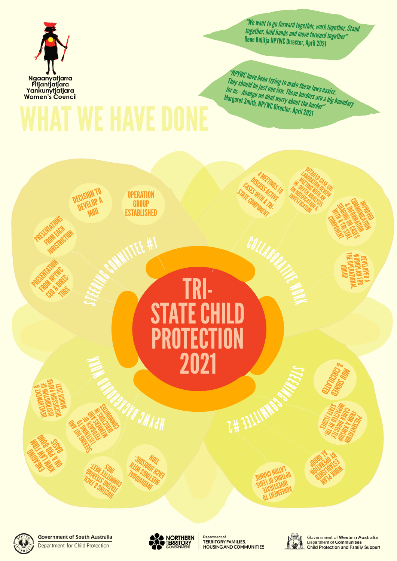DECISION TO **DEVELOP A** MOU



**Government of South Australia** 

MOU SIGNED **QIVYROUG**<br>CINGYROUG &

**WARK PLAN**<br>PLANAMIN<br>PLANAMIN **ESTABLISH**<br>DHAST SHOT<br>GHAST SHOT **BY OPERATION** 

WORKPLAN FOR<br>WORKPLAN FOR DEVELOPED A

**IMPROVED** COMMUNICATION

**THE OPERATIONAL<br>THE OPERATIONAL** 

SHARING ON CASES **ANDRES RE** 

WITH A TRIPOGRAPH COMPONENT

DETAILED CASE<br>BORATION ASE COL-<br>TIME WIN REVISI LABORATED<br>METHATION REGION MEETING WAS IN THE THE MITH AND ON NOTIFICATION AS **INVESTIGATION** 

*"NPYWC have been trying to make these laws easier.<br>They should be just one law. These borders are a big b*<br>for us - Anangu we dont worry about the border" *They should be just one law. These borders are a big boundary for us - Anangu we dont worry about the border"*  Margaret Smith, NPYWC Director. April 2021

SEEKING OUT AND **RIGHTS** FEEDBACK OF MEMBERS AND MITCH STANDARD S. S. MININGS

4 MEETINGS TO<br>CUSS ACTS TO DISCUSS MES<br>ES MITH ACTIVE CASES WISS ACT STATE COMPONENT

HUSTING STRAING

COLLABORATIVE

LIJN SINI<br>VIJJ JILIMINOJ<br>LIJS ININOJ

**OPERATION GROUP<br>ESTABLISHED** PRESENTATIONS PESTABLISHED

STEER !

## TRI-STATE CHILD PROTECTION 2021 **STEERING COMMUNIST**

2#



**OT TWENTERSAL ISLE STANI**<br>INGLISHMI<br>INFINITING

**JONYHO NOLLYT<br>JONYHO NOLLYTT**<br>- SIDELLYDTISEANN

Government of Western Australia **Department of Communities Child Protection and Family Support** 

PRESENTATION<br>DINATATION<br>DINATATION ROMANIA<br>HREA A KINSHIP<br>HREA A KINSHIP<br>Arsentia CARER DIRECTLY<br>PACTED MECTLY<br>CARER DIRECTLY<br>CARER DIRECTLY

SINSSITUS INT<sup>4050</sup>31KG<br>11334031.31KG<br>SOMANO BIMANIN



**Mar Stro**<br>History<br>Basket Ho

ENGAGI<br>ENGAG KW ALWAYS

FROM EACH **JURISTRICTION** 

**PRESENTATION** FROM NPWC CEO ADE **TORS** 

INGS

THING SAIN MINISTRATIV <sup>3</sup>JIASIMOU<br>IM SIMITHOUT<br>PALIMUS-VIT Now

Y JHAN





Department of **TERRITORY FAMILIES,** HOUSING AND COMMUNITIES



*"We want to go forward together, work together. Stand together, hold hands and move forward together"* Rene Kulitja NPYWC Director, April 2021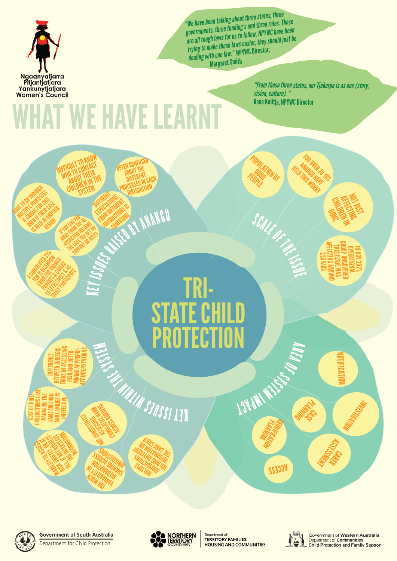

HAVE TO GO THROUGH MULTIPLE PROCESSES<br>MULTIPLE PROCESSES<br>MULTIPLE PROCESSES **IS CARGOSCHA**<br>IN THE CAR CHILI<br>IF CARING HAMP **CARGOR CASE**<br>LAMAS HAMAS INTERNATIONAL IS AN IN ANOTHER<br>IN AN IN ANOTHER<br>S HELD REGION

A CONVOLUTION SYSTEM

PARENTS & CARERS **TO EFFECTIVE** 

 $\blacktriangleright$ <sup>E</sup><sup>Y</sup>



CHILDREN IN

NOT JUST AFFECTING

## TRI-STATE CHILD PROTECTION **RAISEPART RAISEPART RAISEPART AREA OF SYSTEM** MINUTES

**DIFFERENCE<br>BETWEEN JURISDIC-<br>TIONS IN ASSESSING<br>RISK AND DETER-<br>MINING APPROPRI-**<br>ATE INTERVENTIONS





**Government of South Australia** 

Department for Child Protection



Department of **TERRITORY FAMILIES,** HOUSING AND COMMUNITIES



**CASE RIVER** 

Government of Western Australia Department of Communities **Child Protection and Family Support** 

*"From these three states, our Tjukurpa is as one (story, vision, culture). "* Rene Kulitja, NPYWC Director

> FOR OVER 20 YRS<br>MANGU HAVERS<br>FUS LITAYLIRS ANANG 20<br>PANGUHANG HELD THIS WORRY

*"We have been talking about three states, three governments, three funding's and three rules. These are all tough laws for us to follow. NPYWC have been the all tough laws for us to follom.*<br>*trying to make these laws easier, they should just be* a *trying to make these law* " NPYWC Director, *dealing with one law."* NPYWC Director, Margaret Smith

POPULATION OF

SCALE OF THE ISLA

PEOPLE

## WHAT WE HAVE LEARNT

DIFFERENT ONS FROM DIFFERENT<br>FROM DIFFERENT<br>FROM DIFFERENT ESTATERISTS<br>JONATO TOMS IS

DIFFICULT TO KNOW FFICULT IN WHOT<br>WHO TO CONTACT<br>WHO TO CONT THEIR O TU VUITEIR<br>ABOUT THEIR<br>ABOUT CN IN TI **RBOUT IN THE RBOUT THE** 

IF YOU LIKE FAR **AWAYE FROM THE WAY**<br>A HOMA THE HOMA<br>AWA THE TEN HOMA RISPERSION HOLDING **A KOM HOURT NO.**<br>THE CASE YOU GET NO.<br>SUPPORT OR VISITS<br>THE CASE OR DR OFTEN CONFUSED **ABOUT THE** 

ABUL ERENT<br>DIFFERENT PACH<br>PROCESSES IN EACH **JURISDICTION** 

COST OF THREE **JURISDICTIONS CASE** MANAGING THE SAME CHILDREN AND FAMILIES IS INEFFECTIVE

**SI WESTERN WINDOWS** 

**INSTRUCTED NOTIFICATION**